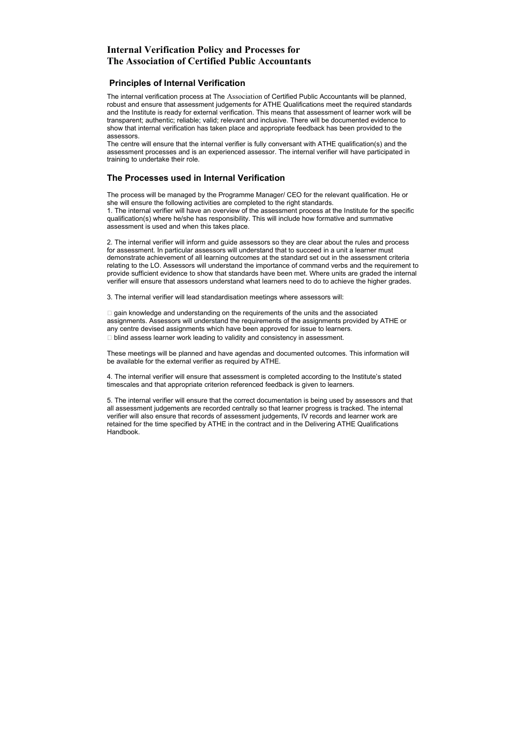## The Processes used in Internal Verification

The process will be managed by the Programme Manager/ CEO for the relevant qualification. He or she will ensure the following activities are completed to the right standards. 1. The internal verifier will have an overview of the assessment process at the Institute for the specific qualification(s) where he/she has responsibility. This will include how formative and summative assessment is used and when this takes place.

2. The internal verifier will inform and guide assessors so they are clear about the rules and process for assessment. In particular assessors will understand that to succeed in a unit a learner must demonstrate achievement of all learning outcomes at the standard set out in the assessment criteria relating to the LO. Assessors will understand the importance of command verbs and the requirement to provide sufficient evidence to show that standards have been met. Where units are graded the internal verifier will ensure that assessors understand what learners need to do to achieve the higher grades.

3. The internal verifier will lead standardisation meetings where assessors will:

 $\Box$  gain knowledge and understanding on the requirements of the units and the associated assignments. Assessors will understand the requirements of the assignments provided by ATHE or any centre devised assignments which have been approved for issue to learners.  $\Box$  blind assess learner work leading to validity and consistency in assessment.

These meetings will be planned and have agendas and documented outcomes. This information will be available for the external verifier as required by ATHE.

4. The internal verifier will ensure that assessment is completed according to the Institute's stated timescales and that appropriate criterion referenced feedback is given to learners.

5. The internal verifier will ensure that the correct documentation is being used by assessors and that all assessment judgements are recorded centrally so that learner progress is tracked. The internal verifier will also ensure that records of assessment judgements, IV records and learner work are retained for the time specified by ATHE in the contract and in the Delivering ATHE Qualifications Handbook.

## **Internal Verification Policy and Processes for The Association of Certified Public Accountants**

## Principles of Internal Verification

The internal verification process at The Association of Certified Public Accountants will be planned, robust and ensure that assessment judgements for ATHE Qualifications meet the required standards and the Institute is ready for external verification. This means that assessment of learner work will be transparent; authentic; reliable; valid; relevant and inclusive. There will be documented evidence to show that internal verification has taken place and appropriate feedback has been provided to the assessors.

The centre will ensure that the internal verifier is fully conversant with ATHE qualification(s) and the assessment processes and is an experienced assessor. The internal verifier will have participated in training to undertake their role.